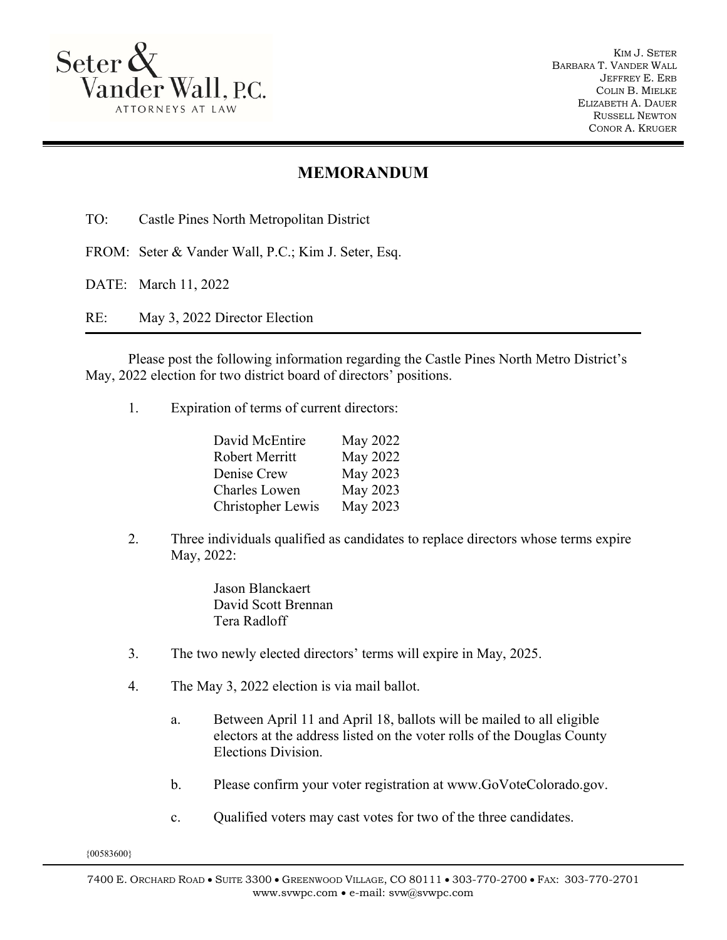

KIM J. SETER BARBARA T. VANDER WALL JEFFREY E. ERB COLIN B. MIELKE ELIZABETH A. DAUER RUSSELL NEWTON CONOR A. KRUGER

## **MEMORANDUM**

TO: Castle Pines North Metropolitan District

FROM: Seter & Vander Wall, P.C.; Kim J. Seter, Esq.

DATE: March 11, 2022

RE: May 3, 2022 Director Election

Please post the following information regarding the Castle Pines North Metro District's May, 2022 election for two district board of directors' positions.

1. Expiration of terms of current directors:

| May 2022 |
|----------|
| May 2022 |
| May 2023 |
| May 2023 |
| May 2023 |
|          |

2. Three individuals qualified as candidates to replace directors whose terms expire May, 2022:

> Jason Blanckaert David Scott Brennan Tera Radloff

- 3. The two newly elected directors' terms will expire in May, 2025.
- 4. The May 3, 2022 election is via mail ballot.
	- a. Between April 11 and April 18, ballots will be mailed to all eligible electors at the address listed on the voter rolls of the Douglas County Elections Division.
	- b. Please confirm your voter registration at www.GoVoteColorado.gov.
	- c. Qualified voters may cast votes for two of the three candidates.

{00583600}